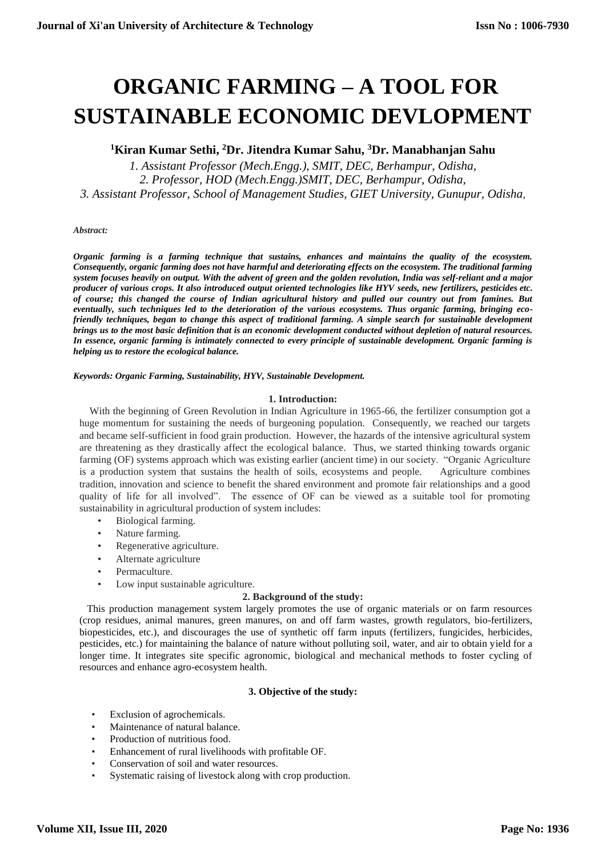# **ORGANIC FARMING – A TOOL FOR SUSTAINABLE ECONOMIC DEVLOPMENT**

## **<sup>1</sup>Kiran Kumar Sethi, <sup>2</sup>Dr. Jitendra Kumar Sahu, <sup>3</sup>Dr. Manabhanjan Sahu**

*1. Assistant Professor (Mech.Engg.), SMIT, DEC, Berhampur, Odisha, 2. Professor, HOD (Mech.Engg.)SMIT, DEC, Berhampur, Odisha, 3. Assistant Professor, School of Management Studies, GIET University, Gunupur, Odisha,* 

#### *Abstract:*

*Organic farming is a farming technique that sustains, enhances and maintains the quality of the ecosystem. Consequently, organic farming does not have harmful and deteriorating effects on the ecosystem. The traditional farming system focuses heavily on output. With the advent of green and the golde[n revolution,](https://www.toppr.com/guides/history/work-life-and-leisure/work-life-and-leisure-during-industrial-revolution/) India was self-reliant and a major producer of various [crops.](https://www.toppr.com/guides/biology/crop-production-and-management/types-of-crops/) It also introduced output oriented technologies like HYV [seeds,](https://www.toppr.com/guides/evs/seeds-and-seeds/seed/) new [fertilizers,](https://www.toppr.com/guides/biology/crop-production-and-management/manure-and-fertilizers/) pesticides etc. of course; this changed the course of Indian agricultural history and pulled our country out from famines. But eventually, such techniques led to the deterioration of the various ecosystems. Thus organic farming, bringing ecofriendly techniques, began to change this aspect of traditional farming. A simple search for sustainable development brings us to the most basic definition that is an economic development conducted without depletion of natural resources. In essence, organic farming is intimately connected to every principle of sustainable development. Organic farming is helping us to restore the ecological balance.*

#### *Keywords: Organic Farming, Sustainability, HYV, Sustainable Development.*

## **1. Introduction:**

 With the beginning of Green Revolution in Indian Agriculture in 1965-66, the fertilizer consumption got a huge momentum for sustaining the needs of burgeoning population. Consequently, we reached our targets and became self-sufficient in food grain production. However, the hazards of the intensive agricultural system are threatening as they drastically affect the ecological balance. Thus, we started thinking towards organic farming (OF) systems approach which was existing earlier (ancient time) in our society. "Organic Agriculture is a production system that sustains the health of soils, ecosystems and people. Agriculture combines tradition, innovation and science to benefit the shared environment and promote fair relationships and a good quality of life for all involved". The essence of OF can be viewed as a suitable tool for promoting sustainability in agricultural production of system includes:

- Biological farming.
- Nature farming.
- Regenerative agriculture.
- Alternate agriculture
- Permaculture.
- Low input sustainable agriculture.

## **2. Background of the study:**

 This production management system largely promotes the use of organic materials or on farm resources (crop residues, animal manures, green manures, on and off farm wastes, growth regulators, bio-fertilizers, biopesticides, etc.), and discourages the use of synthetic off farm inputs (fertilizers, fungicides, herbicides, pesticides, etc.) for maintaining the balance of nature without polluting soil, water, and air to obtain yield for a longer time. It integrates site specific agronomic, biological and mechanical methods to foster cycling of resources and enhance agro-ecosystem health.

## **3. Objective of the study:**

- Exclusion of agrochemicals.
- Maintenance of natural balance.
- Production of nutritious food.
- Enhancement of rural livelihoods with profitable OF.
- Conservation of soil and water resources.
- Systematic raising of livestock along with crop production.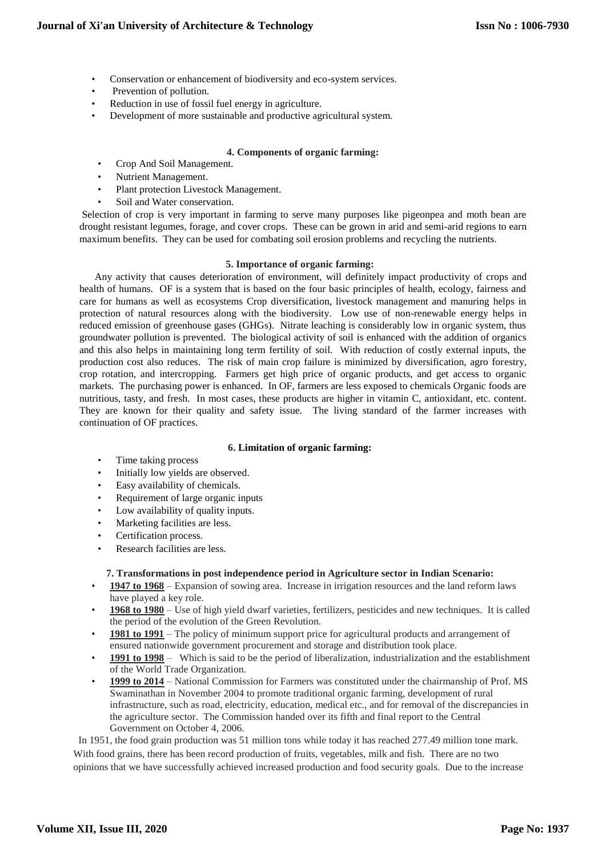- Conservation or enhancement of biodiversity and eco-system services.
- Prevention of pollution.
- Reduction in use of fossil fuel energy in agriculture.
- Development of more sustainable and productive agricultural system.

## **4. Components of organic farming:**

- Crop And Soil Management.
- Nutrient Management.
- Plant protection Livestock Management.
- Soil and Water conservation.

Selection of crop is very important in farming to serve many purposes like pigeonpea and moth bean are drought resistant legumes, forage, and cover crops. These can be grown in arid and semi-arid regions to earn maximum benefits. They can be used for combating soil erosion problems and recycling the nutrients.

## **5. Importance of organic farming:**

 Any activity that causes deterioration of environment, will definitely impact productivity of crops and health of humans. OF is a system that is based on the four basic principles of health, ecology, fairness and care for humans as well as ecosystems Crop diversification, livestock management and manuring helps in protection of natural resources along with the biodiversity. Low use of non-renewable energy helps in reduced emission of greenhouse gases (GHGs). Nitrate leaching is considerably low in organic system, thus groundwater pollution is prevented. The biological activity of soil is enhanced with the addition of organics and this also helps in maintaining long term fertility of soil. With reduction of costly external inputs, the production cost also reduces. The risk of main crop failure is minimized by diversification, agro forestry, crop rotation, and intercropping. Farmers get high price of organic products, and get access to organic markets. The purchasing power is enhanced. In OF, farmers are less exposed to chemicals Organic foods are nutritious, tasty, and fresh. In most cases, these products are higher in vitamin C, antioxidant, etc. content. They are known for their quality and safety issue. The living standard of the farmer increases with continuation of OF practices.

## **6. Limitation of organic farming:**

- Time taking process
- Initially low yields are observed.
- Easy availability of chemicals.
- Requirement of large organic inputs
- Low availability of quality inputs.
- Marketing facilities are less.
- Certification process.
- Research facilities are less.

## **7. Transformations in post independence period in Agriculture sector in Indian Scenario:**

- **1947 to 1968** Expansion of sowing area. Increase in irrigation resources and the land reform laws have played a key role.
- **1968 to 1980** Use of high yield dwarf varieties, fertilizers, pesticides and new techniques. It is called the period of the evolution of the Green Revolution.
- **1981 to 1991** The policy of minimum support price for agricultural products and arrangement of ensured nationwide government procurement and storage and distribution took place.
- **1991 to 1998** Which is said to be the period of liberalization, industrialization and the establishment of the World Trade Organization.
- **1999 to 2014** National Commission for Farmers was constituted under the chairmanship of Prof. MS Swaminathan in November 2004 to promote traditional organic farming, development of rural infrastructure, such as road, electricity, education, medical etc., and for removal of the discrepancies in the agriculture sector. The Commission handed over its fifth and final report to the Central Government on October 4, 2006.

 In 1951, the food grain production was 51 million tons while today it has reached 277.49 million tone mark. With food grains, there has been record production of fruits, vegetables, milk and fish. There are no two opinions that we have successfully achieved increased production and food security goals. Due to the increase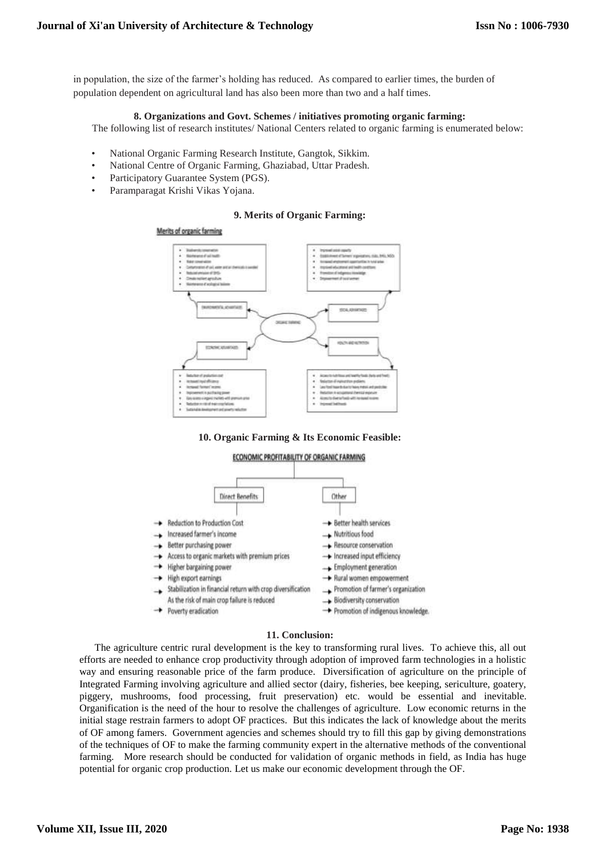in population, the size of the farmer's holding has reduced. As compared to earlier times, the burden of population dependent on agricultural land has also been more than two and a half times.

#### **8. Organizations and Govt. Schemes / initiatives promoting organic farming:**

The following list of research institutes/ National Centers related to organic farming is enumerated below:

- National Organic Farming Research Institute, Gangtok, Sikkim.
- National Centre of Organic Farming, Ghaziabad, Uttar Pradesh.
- Participatory Guarantee System (PGS).
- Paramparagat Krishi Vikas Yojana.

#### **9. Merits of Organic Farming:**



#### **10. Organic Farming & Its Economic Feasible:**



#### **11. Conclusion:**

 The agriculture centric rural development is the key to transforming rural lives. To achieve this, all out efforts are needed to enhance crop productivity through adoption of improved farm technologies in a holistic way and ensuring reasonable price of the farm produce. Diversification of agriculture on the principle of Integrated Farming involving agriculture and allied sector (dairy, fisheries, bee keeping, sericulture, goatery, piggery, mushrooms, food processing, fruit preservation) etc. would be essential and inevitable. Organification is the need of the hour to resolve the challenges of agriculture. Low economic returns in the initial stage restrain farmers to adopt OF practices. But this indicates the lack of knowledge about the merits of OF among famers. Government agencies and schemes should try to fill this gap by giving demonstrations of the techniques of OF to make the farming community expert in the alternative methods of the conventional farming. More research should be conducted for validation of organic methods in field, as India has huge potential for organic crop production. Let us make our economic development through the OF.